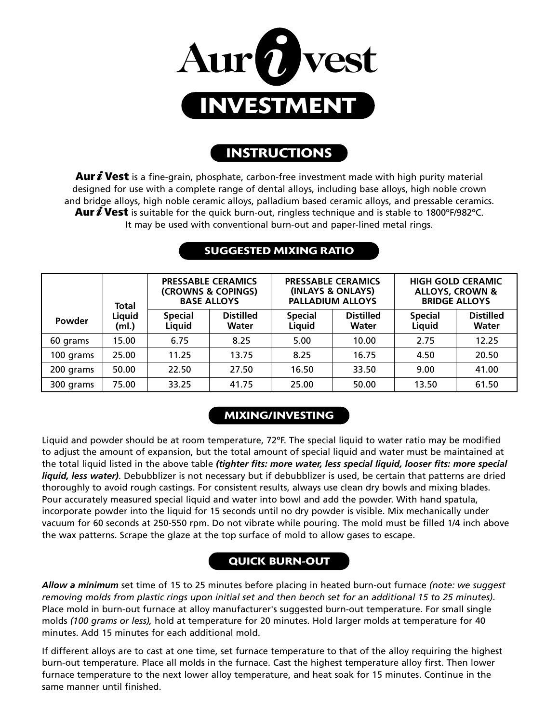

# **INSTRUCTIONS**

**Aur***i***Vest** is a fine-grain, phosphate, carbon-free investment made with high purity material designed for use with a complete range of dental alloys, including base alloys, high noble crown and bridge alloys, high noble ceramic alloys, palladium based ceramic alloys, and pressable ceramics. **Aur***i***Vest** is suitable for the quick burn-out, ringless technique and is stable to 1800ºF/982ºC. It may be used with conventional burn-out and paper-lined metal rings.

|           | <b>Total</b>    | <b>PRESSABLE CERAMICS</b><br>(CROWNS & COPINGS)<br><b>BASE ALLOYS</b> |                           | <b>PRESSABLE CERAMICS</b><br>(INLAYS & ONLAYS)<br><b>PALLADIUM ALLOYS</b> |                                  | <b>HIGH GOLD CERAMIC</b><br><b>ALLOYS, CROWN &amp;</b><br><b>BRIDGE ALLOYS</b> |                                  |
|-----------|-----------------|-----------------------------------------------------------------------|---------------------------|---------------------------------------------------------------------------|----------------------------------|--------------------------------------------------------------------------------|----------------------------------|
| Powder    | Liquid<br>(ml.) | <b>Special</b><br>Liquid                                              | <b>Distilled</b><br>Water | <b>Special</b><br>Liquid                                                  | <b>Distilled</b><br><b>Water</b> | <b>Special</b><br>Liquid                                                       | <b>Distilled</b><br><b>Water</b> |
| 60 grams  | 15.00           | 6.75                                                                  | 8.25                      | 5.00                                                                      | 10.00                            | 2.75                                                                           | 12.25                            |
| 100 grams | 25.00           | 11.25                                                                 | 13.75                     | 8.25                                                                      | 16.75                            | 4.50                                                                           | 20.50                            |
| 200 grams | 50.00           | 22.50                                                                 | 27.50                     | 16.50                                                                     | 33.50                            | 9.00                                                                           | 41.00                            |
| 300 grams | 75.00           | 33.25                                                                 | 41.75                     | 25.00                                                                     | 50.00                            | 13.50                                                                          | 61.50                            |

### **SUGGESTED MIXING RATIO**

## **MIXING/INVESTING**

Liquid and powder should be at room temperature, 72ºF. The special liquid to water ratio may be modified to adjust the amount of expansion, but the total amount of special liquid and water must be maintained at the total liquid listed in the above table *(tighter fits: more water, less special liquid, looser fits: more special liquid, less water)*. Debubblizer is not necessary but if debubblizer is used, be certain that patterns are dried thoroughly to avoid rough castings. For consistent results, always use clean dry bowls and mixing blades. Pour accurately measured special liquid and water into bowl and add the powder. With hand spatula, incorporate powder into the liquid for 15 seconds until no dry powder is visible. Mix mechanically under vacuum for 60 seconds at 250-550 rpm. Do not vibrate while pouring. The mold must be filled 1/4 inch above the wax patterns. Scrape the glaze at the top surface of mold to allow gases to escape.

## **QUICK BURN-OUT**

*Allow a minimum* set time of 15 to 25 minutes before placing in heated burn-out furnace *(note: we suggest removing molds from plastic rings upon initial set and then bench set for an additional 15 to 25 minutes)*. Place mold in burn-out furnace at alloy manufacturer's suggested burn-out temperature. For small single molds *(100 grams or less),* hold at temperature for 20 minutes. Hold larger molds at temperature for 40 minutes. Add 15 minutes for each additional mold.

If different alloys are to cast at one time, set furnace temperature to that of the alloy requiring the highest burn-out temperature. Place all molds in the furnace. Cast the highest temperature alloy first. Then lower furnace temperature to the next lower alloy temperature, and heat soak for 15 minutes. Continue in the same manner until finished.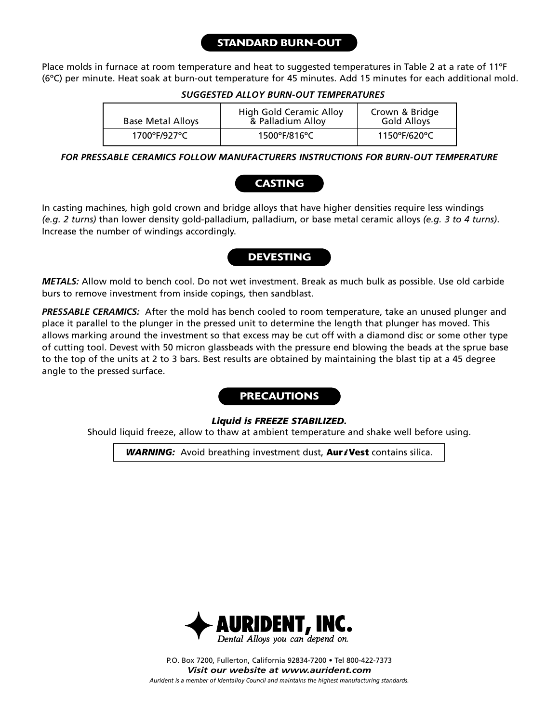### **STANDARD BURN-OUT**

Place molds in furnace at room temperature and heat to suggested temperatures in Table 2 at a rate of 11ºF (6ºC) per minute. Heat soak at burn-out temperature for 45 minutes. Add 15 minutes for each additional mold.

#### *SUGGESTED ALLOY BURN-OUT TEMPERATURES*

| <b>Base Metal Alloys</b> | High Gold Ceramic Alloy<br>& Palladium Alloy | Crown & Bridge<br>Gold Alloys |  |
|--------------------------|----------------------------------------------|-------------------------------|--|
| 1700°F/927°C             | $1500^{\circ}$ F/816 $^{\circ}$ C            | 1150°F/620°C                  |  |

*FOR PRESSABLE CERAMICS FOLLOW MANUFACTURERS INSTRUCTIONS FOR BURN-OUT TEMPERATURE*

# **CASTING**

In casting machines, high gold crown and bridge alloys that have higher densities require less windings *(e.g. 2 turns)* than lower density gold-palladium, palladium, or base metal ceramic alloys *(e.g. 3 to 4 turns)*. Increase the number of windings accordingly.

### **DEVESTING**

*METALS:* Allow mold to bench cool. Do not wet investment. Break as much bulk as possible. Use old carbide burs to remove investment from inside copings, then sandblast.

*PRESSABLE CERAMICS:* After the mold has bench cooled to room temperature, take an unused plunger and place it parallel to the plunger in the pressed unit to determine the length that plunger has moved. This allows marking around the investment so that excess may be cut off with a diamond disc or some other type of cutting tool. Devest with 50 micron glassbeads with the pressure end blowing the beads at the sprue base to the top of the units at 2 to 3 bars. Best results are obtained by maintaining the blast tip at a 45 degree angle to the pressed surface.

### **PRECAUTIONS**

#### *Liquid is FREEZE STABILIZED.*

Should liquid freeze, allow to thaw at ambient temperature and shake well before using.

*WARNING:* Avoid breathing investment dust, **Aur***i***Vest** contains silica.



*Aurident is a member of Identalloy Council and maintains the highest manufacturing standards.* P.O. Box 7200, Fullerton, California 92834-7200 • Tel 800-422-7373 *Visit our website at www.aurident.com*